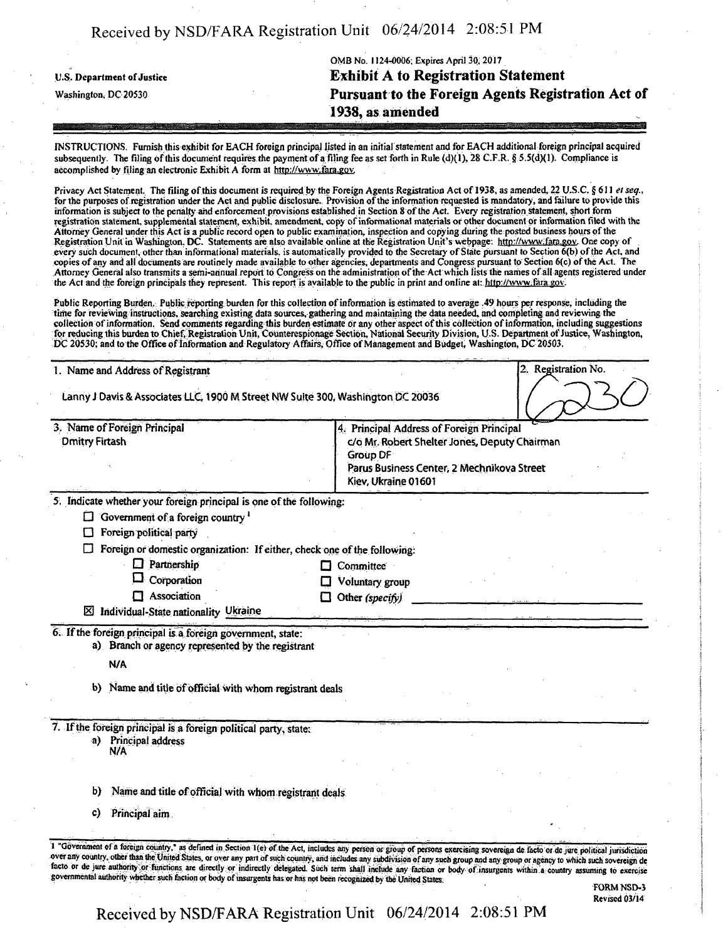|                            | OMB No. 1124-0006; Expires April 30, 2017          |
|----------------------------|----------------------------------------------------|
| U.S. Department of Justice | <b>Exhibit A to Registration Statement</b>         |
| Washington, DC 20530       | Pursuant to the Foreign Agents Registration Act of |
|                            | 1938, as amended                                   |
|                            |                                                    |

INSTRUCTIONS. Furnish this exhibit for EACH foreign principal listed in an initial statement and for EACH additional foreign principal acquired subsequently. The filing of this document requires the payment of a filing fee as set forth in Rule (d)(1), 28 C.F.R. § 5.5(d)(1). Compliance is accomplished by filing an electronic Exhibit A form at http://www.fara.gov.

Privacy Act Statement, The filing of this document is required by the Foreign Agents Registration Act of 1938, as amended, 22 U.S.C. § 611 et seq., for the purposes of registration under the Act and public disclosure. Provision of the information requested is mandatory , and failure to provide this information is subject to the penalty and enforcement.provisions established in Section 8 of the Act. Every registration statement, short form registration statement, supplemental statement, exhibit, amendment, copy of informational materials of other document or information filed with the Attorney General under this Act is a public record open to public examination, inspection and copying during the posted business hours of the Registration Unit in Washington, DC. Statements are also available online at the Registration Unit's webpage: http://www;fara.gov. One copy of Registration Ont in Washington, DC. Statements are also available online at the Registration Ont s webpage: http://www.jara.gov. One copy of<br>every such document, other than informational materials, is automatically provide Attorney General also transmits a semi-annual report to Congress on the administration of the Act which lists the names of all agents registered under the Act and the foreign principals they represent. This report is available to the public in print and online at: http://www.fara.gov.

Public Reporting Burden. Public reporting burden for this collection of information is estimated to average .49 hours per response, including the time for reviewing instructions, searching existing data sources, gathering and maintaining the data needed, and completing and reviewing the collection of information. Send comments regarding this burden estimate or any other aspect of this collection of information, including suggestions for reducing this burden to Chief, Registration Unit, Counterespionage Section, National Security Division, U.S. Department of Justice, Washington,<br>DC 20530; and to the Office of Information and Regulatory Affairs, Office

| 2. Registration No.<br>1. Name and Address of Registrant                        |                                                                          |                                                                                                                                                                             |  |
|---------------------------------------------------------------------------------|--------------------------------------------------------------------------|-----------------------------------------------------------------------------------------------------------------------------------------------------------------------------|--|
| Lanny J Davis & Associates LLC, 1900 M Street NW Suite 300, Washington DC 20036 |                                                                          |                                                                                                                                                                             |  |
| <b>Dmitry Firtash</b>                                                           | 3. Name of Foreign Principal                                             | 4. Principal Address of Foreign Principal<br>c/o Mr. Robert Shelter Jones, Deputy Chairman<br>Group DF<br>Parus Business Center, 2 Mechnikova Street<br>Kiev, Ukraine 01601 |  |
|                                                                                 | 5. Indicate whether your foreign principal is one of the following:      |                                                                                                                                                                             |  |
| $\Box$                                                                          | Government of a foreign country <sup>1</sup>                             |                                                                                                                                                                             |  |
|                                                                                 | Foreign political party                                                  |                                                                                                                                                                             |  |
|                                                                                 | Foreign or domestic organization: If either, check one of the following: |                                                                                                                                                                             |  |
|                                                                                 | $\Box$ Partnership                                                       | $\Box$ Committee                                                                                                                                                            |  |
|                                                                                 | Corporation<br>$\Box$ Association                                        | Voluntary group                                                                                                                                                             |  |
|                                                                                 | $\boxtimes$ Individual-State nationality Ukraine                         | Other (specify)                                                                                                                                                             |  |
|                                                                                 | 6. If the foreign principal is a foreign government, state:              |                                                                                                                                                                             |  |
|                                                                                 | a) Branch or agency represented by the registrant                        |                                                                                                                                                                             |  |
|                                                                                 | N/A                                                                      |                                                                                                                                                                             |  |
|                                                                                 | b) Name and title of official with whom registrant deals                 |                                                                                                                                                                             |  |
|                                                                                 | 7. If the foreign principal is a foreign political party, state:         |                                                                                                                                                                             |  |
|                                                                                 | a) Principal address<br>N/A                                              |                                                                                                                                                                             |  |
|                                                                                 |                                                                          |                                                                                                                                                                             |  |
| b)                                                                              | Name and title of official with whom registrant deals                    |                                                                                                                                                                             |  |
| C)                                                                              | Principal aim                                                            |                                                                                                                                                                             |  |
|                                                                                 |                                                                          |                                                                                                                                                                             |  |

FORM NSD-3 Revised 03/14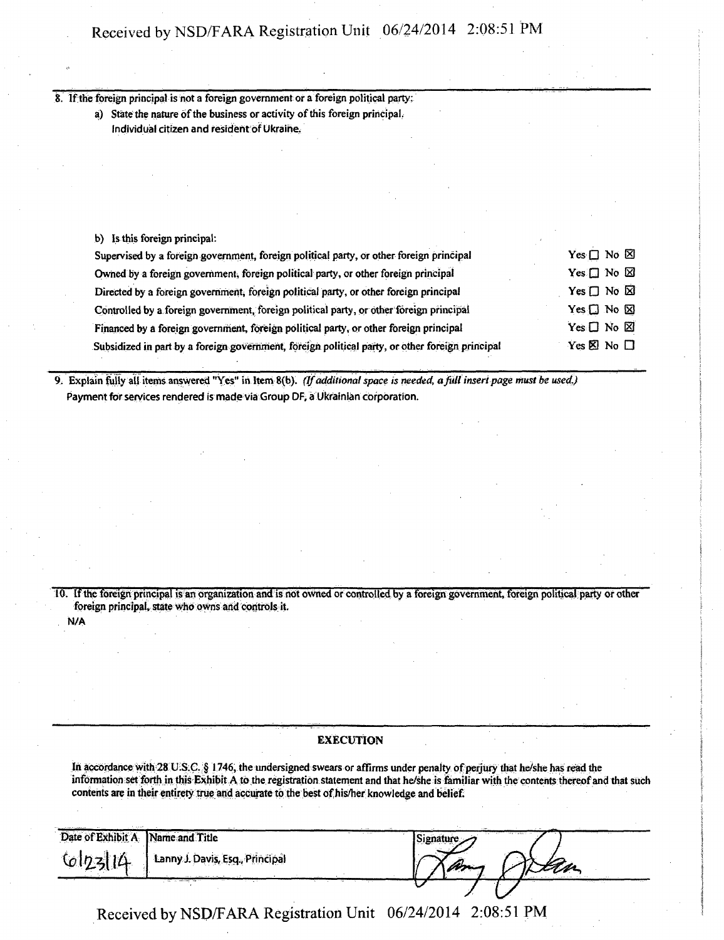8. If the foreign principal is not a foreign government or a foreign political party;

a) State the nature of the business or activity of this foreign principal, Individual citizen and resident of Ukraine.

b) Is this foreign principal:

N/A

| Supervised by a foreign government, foreign political party, or other foreign principal         | Yes $\Box$ No $\boxtimes$    |
|-------------------------------------------------------------------------------------------------|------------------------------|
| Owned by a foreign government, foreign political party, or other foreign principal              | Yes $\square$ No $\square$   |
| Directed by a foreign government, foreign political party, or other foreign principal           | Yes $\Box$ No $\boxtimes$    |
| Controlled by a foreign government, foreign political party, or other foreign principal         | Yes $\Box$ No $\boxtimes$    |
| Financed by a foreign government, foreign political party, or other foreign principal           | $Yes \Box No \boxtimes$      |
| Subsidized in part by a foreign government, foreign political party, or other foreign principal | Yes $\boxtimes$ No $\square$ |

9. Explain fully all items answered "Yes" in Item 8(b). (If additional space is needed, a full insert page must be used.) Payment for services rendered is made via Group DF, a Ukrainian corporation.

10 . if the foreign principal is an organization and is not owned or controlled by a foreign goVerruitent, foreign political party or other foreign principal, state who owns and controls it.

## **EXECUTION**

In accordance with 28 U.S.C. § 1746, the undersigned swears or affirms under penalty of perjury that he/she has read the information set forth in this Exhibit A to the registration statement and that he/she is familiar with die contents thereof and that such contents are in their entirety true and accurate to the best of his/her knowledge and belief.

| Date of Exhibit A | Name and Title                  | Signature | THE TANK I |
|-------------------|---------------------------------|-----------|------------|
| 6173114           | Lanny J. Davis, Esq., Principal |           |            |
|                   |                                 |           |            |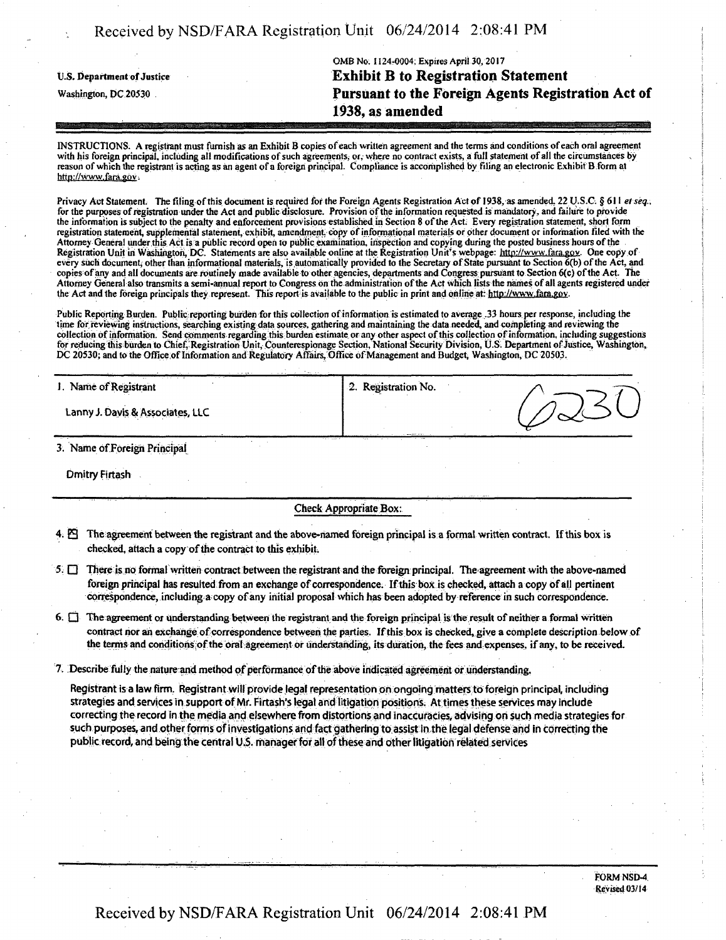| Received by NSD/FARA Registration Unit 06/24/2014 2:08:41 PM |  |  |
|--------------------------------------------------------------|--|--|
|--------------------------------------------------------------|--|--|

|                                   | OMB No. 1124-0004; Expires April 30, 2017          |
|-----------------------------------|----------------------------------------------------|
| <b>U.S. Department of Justice</b> | <b>Exhibit B to Registration Statement</b>         |
| Washington, DC 20530              | Pursuant to the Foreign Agents Registration Act of |
|                                   | 1938, as amended                                   |

INSTRUCTIONS. A registrant must furnish as an Exhibit B copies of each written agreement and the terms and conditions of each oral agreement with his foreign principal, including all modifications of such agreements, or, where no contract exists, a full statement of all the circumstances by reason of which the registrant is acting as an agent of a foreign principal. Compliance is accomplished by filing an electronic Exhibit B form at http://www.fara.gov.

Privacy Act Statement. The filing of this document is required for the Foreign Agents Registration Act of 1938, as amended, 22 U.S.C. § 611 et seq., for the purposes of registration under the Act and public disclosure. Provision of the information requested is mandatory, and failure to provide the information is subject to the penalty and enforcement provisions established in Section 8 of the Act; Every registration statement, short form registration statement, supplemental statement, exhibit, amendment copy of informational materials or other document or information filed with the Attorney General under this Act is a public record open to public examination, inspection and copying during the posted business hours of the Registration Unit in Washington, DC. Statements are also available online at the Registration Unit's webpage: http://www.fara.gov. One copy of every such document, other than informational materials, is automatically provided to the Secretary of State pursuant to Section 6(b) of the Act, and copies of any and all documents are routinely made available to other agencies, departments and Congress pursuant to Section 6(c) of the Act. The Attorney General also transmits a semi-annual report to Congress on the administration of the Act which lists the names of all agents registered under the Act and the foreign principals they represent. This report is available to the public in print and online at: http://www.fara.gov.

Public Reporting Burden. Publicreporting burden for this collection of information is estimated to average .33 hours per response, including the time for reviewing instructions, searching existing data sources, gathering and maintaining the data needed, and completing and reviewing the collection of information. Send comments regarding this burden estimate or any other aspect of this collection of information, including suggestions for reducing this burden to Chief, Registration Unit, Counterespionage Section, National Security Division, U.S. Department of Justice, Washington, DC 20530; and to the Office of Information and Regulatory Affairs, Office of Management and Budget, Washington, DC 20503.

| I. Name of Registrant            | <sup>1</sup> 2. Registration No. |  |
|----------------------------------|----------------------------------|--|
| Lanny J. Davis & Associates, LLC |                                  |  |
|                                  |                                  |  |

3. Name ofForeign Principal

Dmitry Firtash

Check Appropriate Box:

- 4; E9 The agreement between the registrant and the above-named foreign principal is a formal written contract. If this box is checked, attach a copy of the contract to this exhibit.
- 5. O There is no format written contract between the registrant and the foreign principal. The agreement with the above-named foreign principal has resulted from an exchange of correspondence. If this box is checked, attach a copy of all pertinent correspondence, including a copy of any initial proposal which has been adopted by reference in such correspondence.
- 6. Q The agreement or Understanding between the registrant and the foreign principal is the result of neither a formal written contract nor an exchange of correspondence between the parties. If this box is checked, give a complete description below of the terms and conditions of the oral agreement or understanding, its duration, the fees and expenses, if any, to be received.
- 7. Describe fully the nature and method of performance of the above indicated agreement or understanding.

Registrant is a law firm. Registrant will provide legal representation on ongoing matters to foreign principal, including strategies and services in support of Mr. Firtash's legal and litigation positions. At times these services may include correcting the record in the media and elsewhere from distortions and inaccuracies, advising on such media strategies for such purposes, and other forms of investigations and fact gathering to assist in the legal defense and in correcting the public record, and being the central U.S. manager for all of these and other litigation related services

> FORM NSD-4 Revised 03/14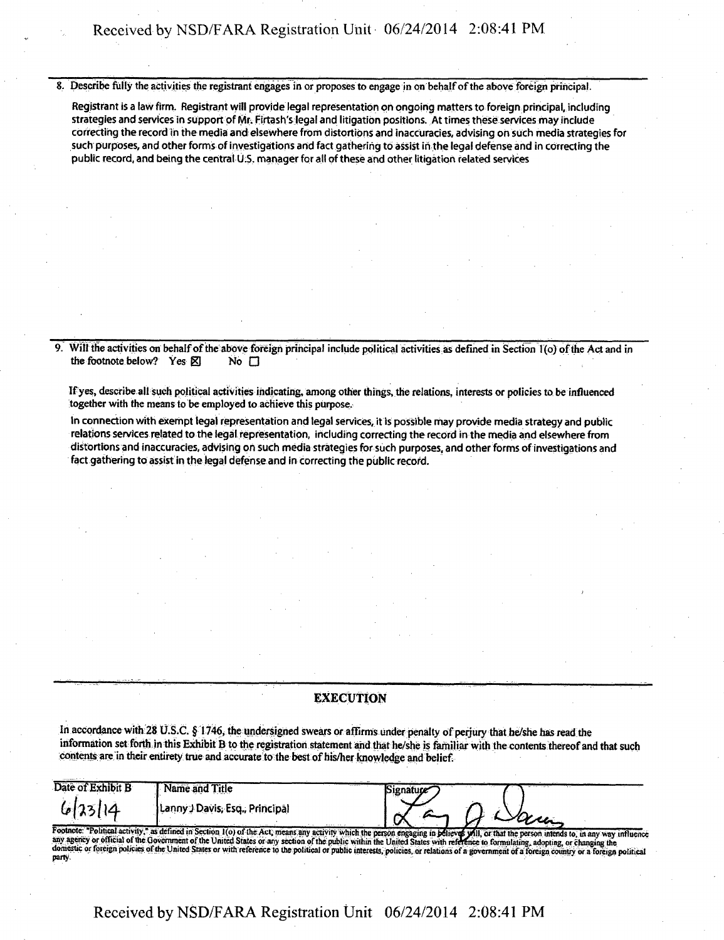8. Describe fully the activities the registrant engages in or proposes to engage in on behalf of the above foreign principal.

Registrant is a law firm. Registrant will provide legal representation on ongoing matters to foreign principal, including strategies and services in support of Mr. Firtash's legal and litigation positions. At times these services may include correcting the record in the media and elsewhere from distortions and inaccuracies, advising on such media strategies for such purposes, and other forms of investigations arid fact gathering to assist in the legal defense and in correcting the public record, and being the central U.S. manager for all of these and other litigation related services

9. Will the activities on behalf of the above foreign principal include political activities as defined in Section l(o) ofthe Act and in the footnote below? Yes  $\boxtimes$  No  $\Box$ 

If yes, describe all such political activities indicating, among other things, die relations, interests or policies to be influenced together with the means to be employed to achieve this purpose.

In connection with exempt legal representation and legal services, it is possible may provide media strategy and public relations services related to the legal representation, including correcting the record in the media and elsewhere from distortions and inaccuracies, advising on such media strategies for such purposes, and other forms of investigations and fact gathering to assist in the legal defense and in correcting the public record.

### **EXECUTION**

In accordance with 28 U.S.C. § 1746, the undersigned swears or affirms under penalty of perjury that he/she has read the information set forth in this Exhibit B to the registration statement and that he/she is familiar with the contents thereof and that such contents are in their entirety true and accurate to the best of his/her knowledge and belief.

| Date of Exhibit B | <b>Name and Title</b>                                                                                                                                                                                                          | /ignature/د |                                                                                                                                                                                           |
|-------------------|--------------------------------------------------------------------------------------------------------------------------------------------------------------------------------------------------------------------------------|-------------|-------------------------------------------------------------------------------------------------------------------------------------------------------------------------------------------|
| 6123114           | Lanny J Davis, Esq., Principal                                                                                                                                                                                                 |             |                                                                                                                                                                                           |
|                   | any apency or official of the Covernment of the United States or any earlyin of the miking with the Republic of the Content of the military of the miking with the Content of the Content of the miking with the content of th |             | Footnote: "Political activity," as defined in Section 1(o) of the Act, means any activity which the person engaging in believes will, or that the person intends to, in any way influence |

s waare<br>relations Footnote: "Political activity," as defined in Section 1(o) of the Act, means any section of the public within the United States with reference to formulating, adopting, or changing the<br>any agency or official of the Governm party.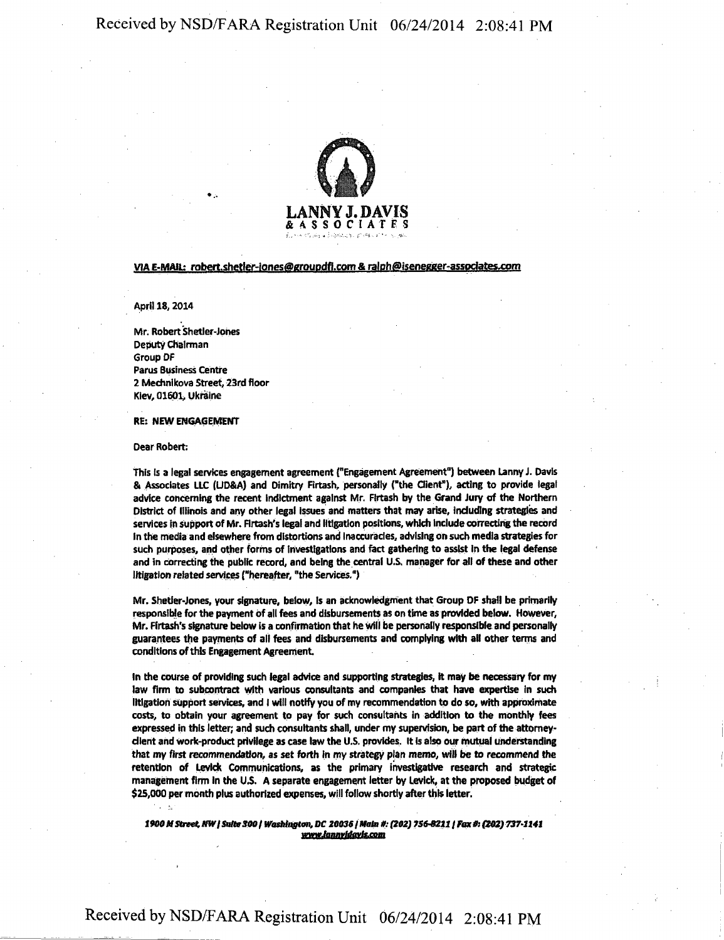

### VIA E-MAIL: robert.shetler-jones@groupdfi.com & ralph@isenegger-associates.com

April 18, 2014

Mr. Robert Shetler-Johes Deputy Chairman Group DF Parus Business Centre 2 Mechnikova Street, 23rd floor Kiev, 01601, Ukraine

#### RE: NEW ENGAGEMENT

Dear Robert:

 $\zeta = \xi_{\rm c}$ 

This Is a legal services engagement agreement ("Engagement Agreement"} between Lanny J. Davis & Associates LLC (UD&A) and Dimitry Firtash, personally ("the Client"), acting to provide legal advice concerning the recent Indictment against Mr. Firtash by the Grand Jury of the Northern District of Illinois and any other legal Issues and matters that may arise, Including strategies and services in support of Mr. Rrtash's legal and litigation positions, which Include correcting the record In the media and elsewhere from distortions and Inaccuracies, advising on such media strategies for such purposes, and other forms of Investigations and fact gathering to assist In the legal defense and in correcting the public record, and being the central U.S. manager for all of these and other litigation related services ("hereafter, "the Services.")

Mr. Shetler-Jones, your signature, below, Is an acknowledgment that Group DF shall be primarily responsible for the payment of all fees and disbursements as on time as provided below. However, Mr. Flrtash's signature below is a confirmation that he will be personally responsible and personally guarantees the payments of all fees and disbursements and complying with all other terms and conditions of this Engagement Agreement

In the course of providing such legal advice and supporting strategies, it may be necessary for my law firm to subcontract with various consultants and companies that have expertise in such litigation support services, and I will notify you of my recommendation to do so, with approximate costs, to obtain your agreement to pay for such consultants in addition to the monthly fees expressed in this letter; and such consultants shall, under my supervision, be part of the attorneyclient and work-product privilege as case law the U.S. provides. It Is also our mutual understanding that my first recommendation, as set forth in my strategy plan memo, will be to recommend the retention of Levick Communications, as the primary investigative research and strategic management firm in the U.S. A separate engagement letter by Levick, at the proposed budget of \$25,000 per month plus authorized expenses, will follow shortly after this letter.

*1900MStnet.HWISattB300l Washington, DC 200361Mala if: (202) 75642121 Fax 0s (202)737-1141 www.lanmldavfs.com*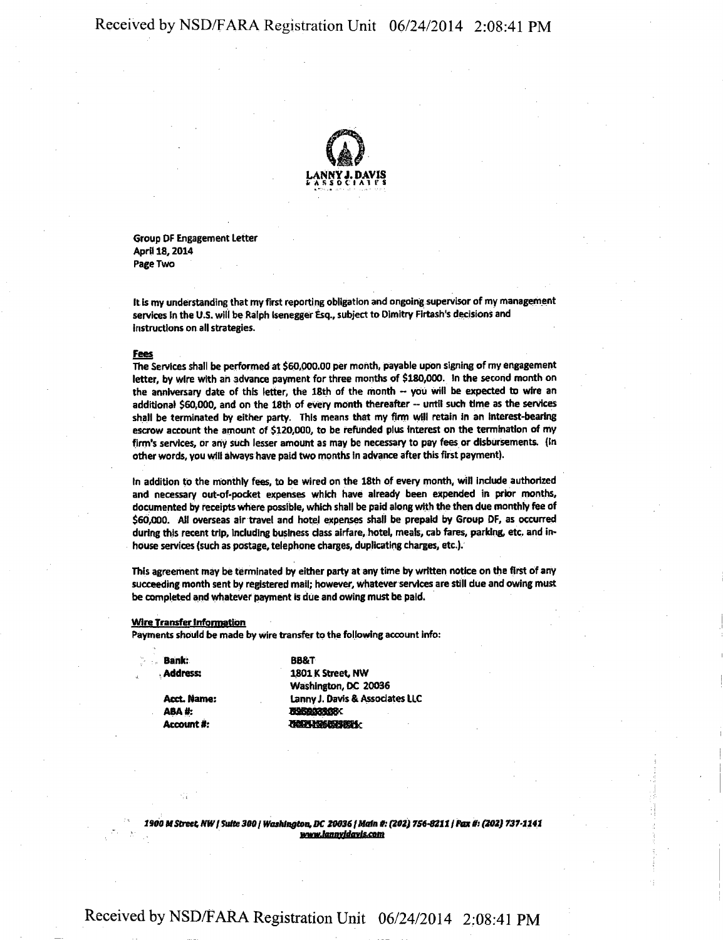

**Group OF Engagement Letter April 18,2014 Page Two** 

**It is my understanding that my first reporting obligation and ongoing supervisor of my management**  services in the U.S. will be Ralph Isenegger Esq., subject to Dimitry Firtash's decisions and **instructions on all strategies.** 

#### **Fees**

**The Services shall be performed at \$60,000.00 per month, payable upon signing of my engagement letter, by wire with an advance payment for three months of \$180,000. In the second month on**  the anniversary date of this letter, the 18th of the month -- you will be expected to wire an **additional \$60,000, and on the 18th of every month thereafter - until such time as the services shall be terminated by either party. This means that my firm will retain in an Interest-bearing escrow account the amount of \$120,000, to be refunded plus interest on the termination of my firm's services, or any such lesser amount as may be necessary to pay fees or disbursements. (In other words, you will always have paid two months In advance after this first payment).** 

**In addition to the monthly fees, to be wired on the 18th of every month, will Include authorized and necessary out-of-pocket expenses which have already been expended in prior months, documented by receipts where possible, which shall be paid along with the then due monthly fee of \$60,000. All overseas air travel and hotel expenses shall be prepaid by Group DF, as occurred during this recent trip, Including business dass airfare, hotel, meals, cab fares, parking, etc. and inhouse services (such as postage, telephone charges, duplicating charges, etc.).** 

**This agreement may be terminated by either party at any time by written notice on the first of any succeeding month sent by registered mail; however, whatever services are still due and owing must be completed and whatever payment is due and owing must be paid.** 

#### **Wire Transfer Information**

**Payments should be made by wire transfer to the following account info:** 

**Acct. Name: ABA#: Account #:** 

**Bank: BB&T Address: 1801K Street, NW Washington, DC 20036 Lanny J. Davis & Associates LLC lMSfflBSBcK JANE MARKET BEEK** 

*1900 M Street NW I Suite 300/ Washington, DC 200361Main ft (202) 7S6-8211 / Fax 0i (302) 7371141*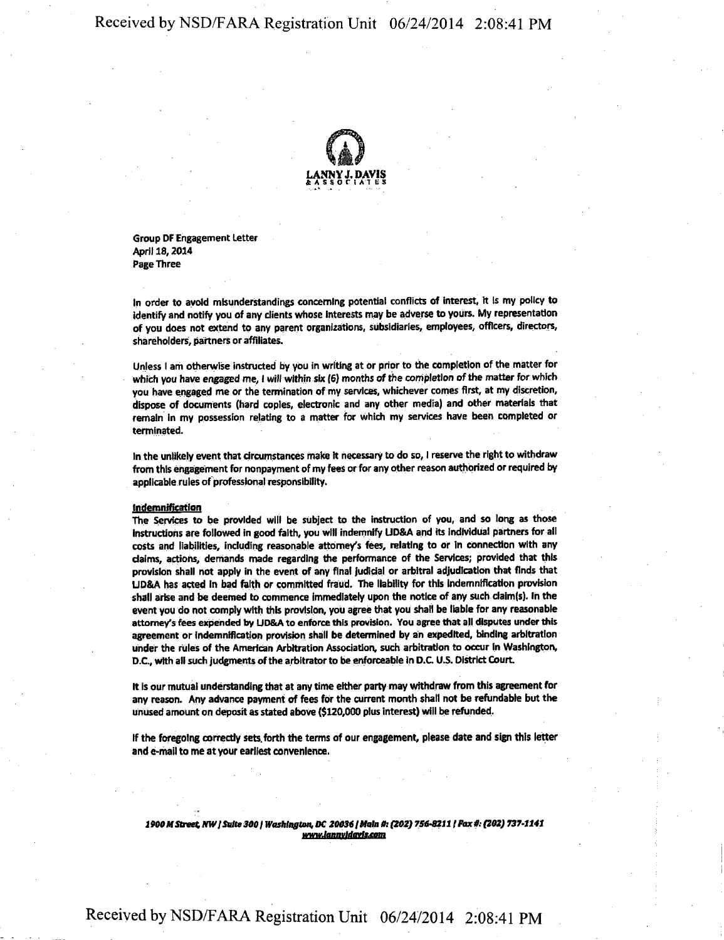

**Group DF Engagement Letter April 18,2014 Page Three** 

**In order to avoid misunderstandings concerning potential conflicts of interest, it Is my policy to identify and notify you of any clients whose Interests may be adverse to yours. My representatton of you does not extend to any parent organizations, subsidiaries, employees, officers, directors, shareholders, partners or affiliates.** 

**Unless I am otherwise instructed by you in writing at or prior to the completion of the matter for which you have engaged me, I will within six (6) months of the completion ofthe matter for which you have engaged me or the termination of my services, whichever comes first, at my discretion, dispose of documents (hard copies, electronic and any other media) and other materials that remain in my possession relating to a matter for which my services have been completed or terminated.** 

**In the unlikely event that circumstances make it necessary to do so, I reserve the right to withdraw from this engagement for nonpayment of my fees or for any other reason authorized or required by applicable rules of professional responsibility.** 

#### **Indemnification**

**The Services to be provided will be subject to the instruction of you, and so long as those Instructions are followed in good faith, you will indemnify UD&A and its Individual partners for all costs and liabilities, including reasonable attorney's fees, relating to or In connection with any claims, actions, demands made regarding the performance of the Services; provided that this provision shall not apply in the event of any final judicial or arbitral adjudication that finds that UD8tA has acted In bad faith or committed fraud. The liability for this Indemnification provision shall arise and be deemed to commence immediately upon the notice of any such claim(s). In the event you do not comply with this provision, you agree that you shall be liable for any reasonable attorney's fees expended by UD&A to enforce this provision. You agree that all disputes under this agreement or indemnification provision shall be determined by an expedited, binding arbitration under the rules of the American Arbitration Association, such arbitration to occur In Washington,**  D.C., with all such judgments of the arbitrator to be enforceable in D.C. U.S. District Court.

**It is our mutual understanding that at any time either party may withdraw from this agreement for any reason. Any advance payment of fees for the current month shall not be refundable but the unused amount on deposit as stated above (\$120,000 plus interest) will be refunded.** 

**If the foregoing correctly sets, forth the terms of our engagement, please date and sign this letter and e-mail to me at your earliest convenience.** 

*1900M Street, NWI Suite 300/ Washington, DC 200361Main ff: (202) 756-8211 /Iter\* (202) 737-1141 wwwJnnnvfdavlsMim*